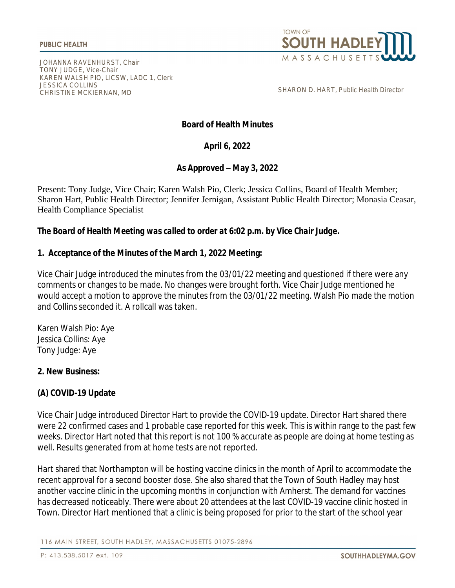

JOHANNA RAVENHURST, Chair TONY JUDGE, Vice-Chair KAREN WALSH PIO, LICSW, LADC 1, Clerk JESSICA COLLINS CHRISTINE MCKIERNAN, MD

SHARON D. HART, Public Health Director

# **Board of Health Minutes**

# **April 6, 2022**

# **As Approved – May 3, 2022**

Present: Tony Judge, Vice Chair; Karen Walsh Pio, Clerk; Jessica Collins, Board of Health Member; Sharon Hart, Public Health Director; Jennifer Jernigan, Assistant Public Health Director; Monasia Ceasar, Health Compliance Specialist

#### *The Board of Health Meeting was called to order at 6:02 p.m. by Vice Chair Judge.*

#### **1. Acceptance of the Minutes of the March 1, 2022 Meeting:**

Vice Chair Judge introduced the minutes from the 03/01/22 meeting and questioned if there were any comments or changes to be made. No changes were brought forth. Vice Chair Judge mentioned he would accept a motion to approve the minutes from the 03/01/22 meeting. Walsh Pio made the motion and Collins seconded it. A rollcall was taken.

Karen Walsh Pio: Aye Jessica Collins: Aye Tony Judge: Aye

#### **2. New Business:**

# **(A) COVID-19 Update**

Vice Chair Judge introduced Director Hart to provide the COVID-19 update. Director Hart shared there were 22 confirmed cases and 1 probable case reported for this week. This is within range to the past few weeks. Director Hart noted that this report is not 100 % accurate as people are doing at home testing as well. Results generated from at home tests are not reported.

Hart shared that Northampton will be hosting vaccine clinics in the month of April to accommodate the recent approval for a second booster dose. She also shared that the Town of South Hadley may host another vaccine clinic in the upcoming months in conjunction with Amherst. The demand for vaccines has decreased noticeably. There were about 20 attendees at the last COVID-19 vaccine clinic hosted in Town. Director Hart mentioned that a clinic is being proposed for prior to the start of the school year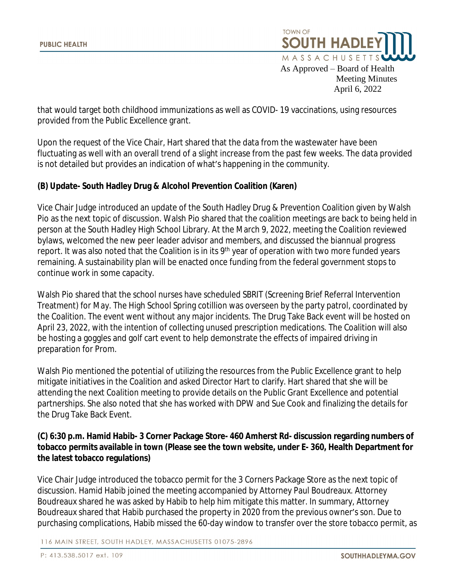

April 6, 2022

that would target both childhood immunizations as well as COVID- 19 vaccinations, using resources provided from the Public Excellence grant.

Upon the request of the Vice Chair, Hart shared that the data from the wastewater have been fluctuating as well with an overall trend of a slight increase from the past few weeks. The data provided is not detailed but provides an indication of what's happening in the community.

# **(B) Update- South Hadley Drug & Alcohol Prevention Coalition (Karen)**

Vice Chair Judge introduced an update of the South Hadley Drug & Prevention Coalition given by Walsh Pio as the next topic of discussion. Walsh Pio shared that the coalition meetings are back to being held in person at the South Hadley High School Library. At the March 9, 2022, meeting the Coalition reviewed bylaws, welcomed the new peer leader advisor and members, and discussed the biannual progress report. It was also noted that the Coalition is in its 9<sup>th</sup> year of operation with two more funded years remaining. A sustainability plan will be enacted once funding from the federal government stops to continue work in some capacity.

Walsh Pio shared that the school nurses have scheduled SBRIT (Screening Brief Referral Intervention Treatment) for May. The High School Spring cotillion was overseen by the party patrol, coordinated by the Coalition. The event went without any major incidents. The Drug Take Back event will be hosted on April 23, 2022, with the intention of collecting unused prescription medications. The Coalition will also be hosting a goggles and golf cart event to help demonstrate the effects of impaired driving in preparation for Prom.

Walsh Pio mentioned the potential of utilizing the resources from the Public Excellence grant to help mitigate initiatives in the Coalition and asked Director Hart to clarify. Hart shared that she will be attending the next Coalition meeting to provide details on the Public Grant Excellence and potential partnerships. She also noted that she has worked with DPW and Sue Cook and finalizing the details for the Drug Take Back Event.

# **(C) 6:30 p.m. Hamid Habib- 3 Corner Package Store- 460 Amherst Rd- discussion regarding numbers of tobacco permits available in town (Please see the town website, under E- 360, Health Department for the latest tobacco regulations)**

Vice Chair Judge introduced the tobacco permit for the 3 Corners Package Store as the next topic of discussion. Hamid Habib joined the meeting accompanied by Attorney Paul Boudreaux. Attorney Boudreaux shared he was asked by Habib to help him mitigate this matter. In summary, Attorney Boudreaux shared that Habib purchased the property in 2020 from the previous owner's son. Due to purchasing complications, Habib missed the 60-day window to transfer over the store tobacco permit, as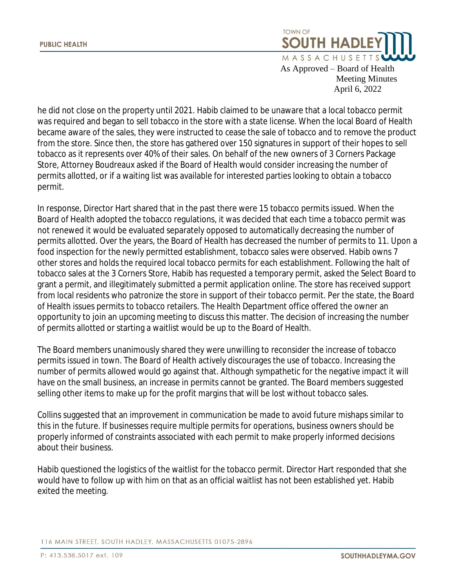

 April 6, 2022 he did not close on the property until 2021. Habib claimed to be unaware that a local tobacco permit was required and began to sell tobacco in the store with a state license. When the local Board of Health became aware of the sales, they were instructed to cease the sale of tobacco and to remove the product from the store. Since then, the store has gathered over 150 signatures in support of their hopes to sell tobacco as it represents over 40% of their sales. On behalf of the new owners of 3 Corners Package Store, Attorney Boudreaux asked if the Board of Health would consider increasing the number of permits allotted, or if a waiting list was available for interested parties looking to obtain a tobacco permit.

In response, Director Hart shared that in the past there were 15 tobacco permits issued. When the Board of Health adopted the tobacco regulations, it was decided that each time a tobacco permit was not renewed it would be evaluated separately opposed to automatically decreasing the number of permits allotted. Over the years, the Board of Health has decreased the number of permits to 11. Upon a food inspection for the newly permitted establishment, tobacco sales were observed. Habib owns 7 other stores and holds the required local tobacco permits for each establishment. Following the halt of tobacco sales at the 3 Corners Store, Habib has requested a temporary permit, asked the Select Board to grant a permit, and illegitimately submitted a permit application online. The store has received support from local residents who patronize the store in support of their tobacco permit. Per the state, the Board of Health issues permits to tobacco retailers. The Health Department office offered the owner an opportunity to join an upcoming meeting to discuss this matter. The decision of increasing the number of permits allotted or starting a waitlist would be up to the Board of Health.

The Board members unanimously shared they were unwilling to reconsider the increase of tobacco permits issued in town. The Board of Health actively discourages the use of tobacco. Increasing the number of permits allowed would go against that. Although sympathetic for the negative impact it will have on the small business, an increase in permits cannot be granted. The Board members suggested selling other items to make up for the profit margins that will be lost without tobacco sales.

Collins suggested that an improvement in communication be made to avoid future mishaps similar to this in the future. If businesses require multiple permits for operations, business owners should be properly informed of constraints associated with each permit to make properly informed decisions about their business.

Habib questioned the logistics of the waitlist for the tobacco permit. Director Hart responded that she would have to follow up with him on that as an official waitlist has not been established yet. Habib exited the meeting.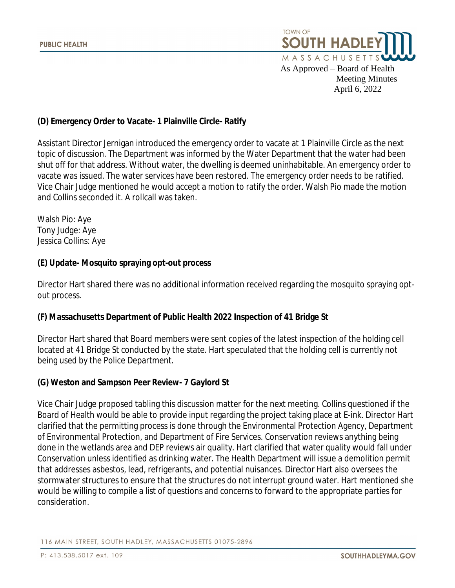

# **(D) Emergency Order to Vacate- 1 Plainville Circle- Ratify**

Assistant Director Jernigan introduced the emergency order to vacate at 1 Plainville Circle as the next topic of discussion. The Department was informed by the Water Department that the water had been shut off for that address. Without water, the dwelling is deemed uninhabitable. An emergency order to vacate was issued. The water services have been restored. The emergency order needs to be ratified. Vice Chair Judge mentioned he would accept a motion to ratify the order. Walsh Pio made the motion and Collins seconded it. A rollcall was taken.

Walsh Pio: Aye Tony Judge: Aye Jessica Collins: Aye

#### **(E) Update- Mosquito spraying opt-out process**

Director Hart shared there was no additional information received regarding the mosquito spraying optout process.

#### **(F) Massachusetts Department of Public Health 2022 Inspection of 41 Bridge St**

Director Hart shared that Board members were sent copies of the latest inspection of the holding cell located at 41 Bridge St conducted by the state. Hart speculated that the holding cell is currently not being used by the Police Department.

#### **(G) Weston and Sampson Peer Review- 7 Gaylord St**

Vice Chair Judge proposed tabling this discussion matter for the next meeting. Collins questioned if the Board of Health would be able to provide input regarding the project taking place at E-ink. Director Hart clarified that the permitting process is done through the Environmental Protection Agency, Department of Environmental Protection, and Department of Fire Services. Conservation reviews anything being done in the wetlands area and DEP reviews air quality. Hart clarified that water quality would fall under Conservation unless identified as drinking water. The Health Department will issue a demolition permit that addresses asbestos, lead, refrigerants, and potential nuisances. Director Hart also oversees the stormwater structures to ensure that the structures do not interrupt ground water. Hart mentioned she would be willing to compile a list of questions and concerns to forward to the appropriate parties for consideration.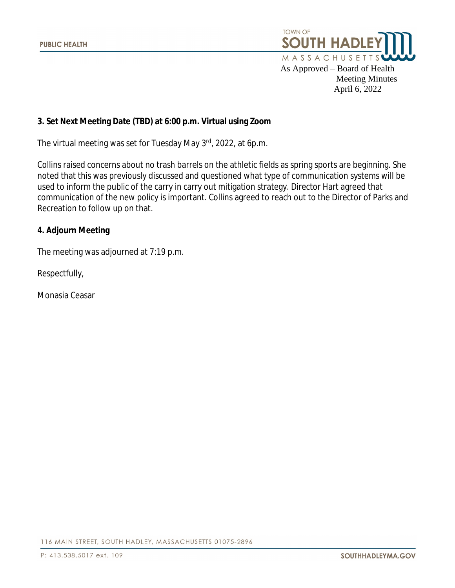

#### **3. Set Next Meeting Date (TBD) at 6:00 p.m. Virtual using Zoom**

The virtual meeting was set for Tuesday May 3rd, 2022, at 6p.m.

Collins raised concerns about no trash barrels on the athletic fields as spring sports are beginning. She noted that this was previously discussed and questioned what type of communication systems will be used to inform the public of the carry in carry out mitigation strategy. Director Hart agreed that communication of the new policy is important. Collins agreed to reach out to the Director of Parks and Recreation to follow up on that.

#### **4. Adjourn Meeting**

The meeting was adjourned at 7:19 p.m.

Respectfully,

Monasia Ceasar